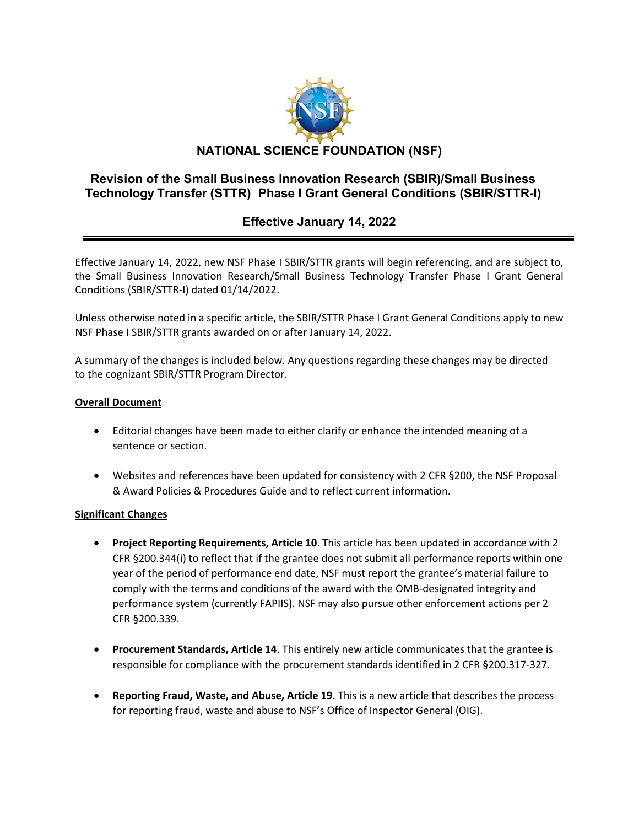

## **Revision of the Small Business Innovation Research (SBIR)/Small Business Technology Transfer (STTR) Phase I Grant General Conditions (SBIR/STTR-I)**

# **Effective January 14, 2022**

Effective January 14, 2022, new NSF Phase I SBIR/STTR grants will begin referencing, and are subject to, the Small Business Innovation Research/Small Business Technology Transfer Phase I Grant General Conditions (SBIR/STTR-I) dated 01/14/2022.

Unless otherwise noted in a specific article, the SBIR/STTR Phase I Grant General Conditions apply to new NSF Phase I SBIR/STTR grants awarded on or after January 14, 2022.

A summary of the changes is included below. Any questions regarding these changes may be directed to the cognizant SBIR/STTR Program Director.

### **Overall Document**

- Editorial changes have been made to either clarify or enhance the intended meaning of a sentence or section.
- Websites and references have been updated for consistency with 2 CFR §200, the NSF Proposal & Award Policies & Procedures Guide and to reflect current information.

### **Significant Changes**

- **Project Reporting Requirements, Article 10**. This article has been updated in accordance with 2 CFR §200.344(i) to reflect that if the grantee does not submit all performance reports within one year of the period of performance end date, NSF must report the grantee's material failure to comply with the terms and conditions of the award with the OMB-designated integrity and performance system (currently FAPIIS). NSF may also pursue other enforcement actions per 2 CFR §200.339.
- **Procurement Standards, Article 14**. This entirely new article communicates that the grantee is responsible for compliance with the procurement standards identified in 2 CFR §200.317-327.
- **Reporting Fraud, Waste, and Abuse, Article 19**. This is a new article that describes the process for reporting fraud, waste and abuse to NSF's Office of Inspector General (OIG).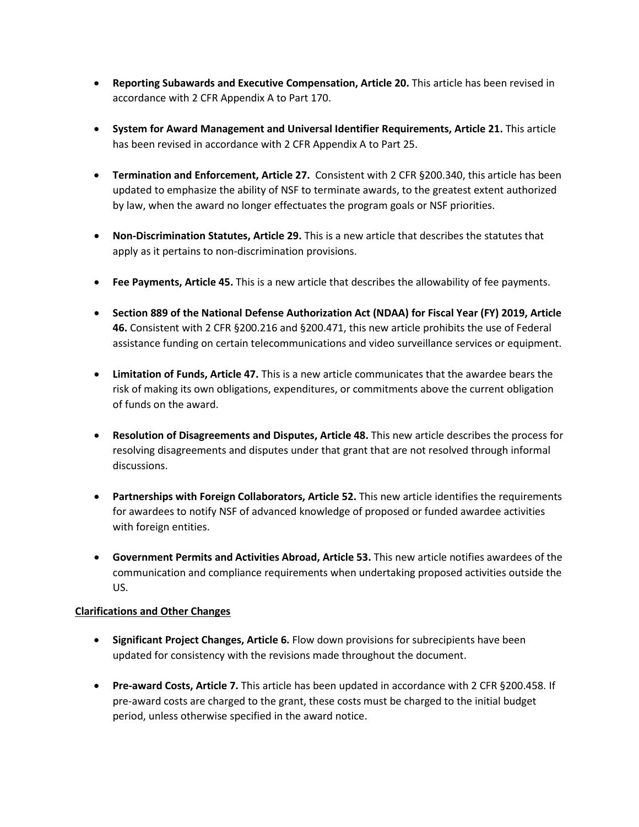- **Reporting Subawards and Executive Compensation, Article 20.** This article has been revised in accordance with 2 CFR Appendix A to Part 170.
- **System for Award Management and Universal Identifier Requirements, Article 21.** This article has been revised in accordance with 2 CFR Appendix A to Part 25.
- **Termination and Enforcement, Article 27.** Consistent with 2 CFR §200.340, this article has been updated to emphasize the ability of NSF to terminate awards, to the greatest extent authorized by law, when the award no longer effectuates the program goals or NSF priorities.
- **Non-Discrimination Statutes, Article 29.** This is a new article that describes the statutes that apply as it pertains to non-discrimination provisions.
- **Fee Payments, Article 45.** This is a new article that describes the allowability of fee payments.
- **Section 889 of the National Defense Authorization Act (NDAA) for Fiscal Year (FY) 2019, Article 46.** Consistent with 2 CFR §200.216 and §200.471, this new article prohibits the use of Federal assistance funding on certain telecommunications and video surveillance services or equipment.
- **Limitation of Funds, Article 47.** This is a new article communicates that the awardee bears the risk of making its own obligations, expenditures, or commitments above the current obligation of funds on the award.
- **Resolution of Disagreements and Disputes, Article 48.** This new article describes the process for resolving disagreements and disputes under that grant that are not resolved through informal discussions.
- **Partnerships with Foreign Collaborators, Article 52.** This new article identifies the requirements for awardees to notify NSF of advanced knowledge of proposed or funded awardee activities with foreign entities.
- **Government Permits and Activities Abroad, Article 53.** This new article notifies awardees of the communication and compliance requirements when undertaking proposed activities outside the US.

#### **Clarifications and Other Changes**

- **Significant Project Changes, Article 6.** Flow down provisions for subrecipients have been updated for consistency with the revisions made throughout the document.
- **Pre-award Costs, Article 7.** This article has been updated in accordance with 2 CFR §200.458. If pre-award costs are charged to the grant, these costs must be charged to the initial budget period, unless otherwise specified in the award notice.